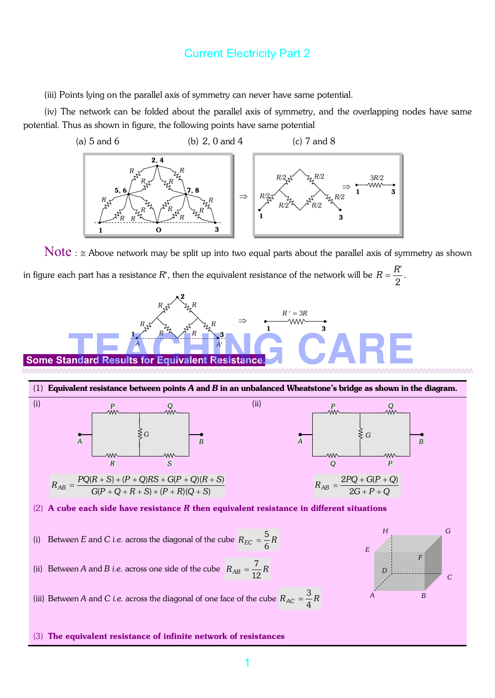(iii) Points lying on the parallel axis of symmetry can never have same potential.

(iv) The network can be folded about the parallel axis of symmetry, and the overlapping nodes have same potential. Thus as shown in figure, the following points have same potential



 $\text{Note}: \cong \text{Above network may be split up into two equal parts about the parallel axis of symmetry as shown}$ in figure each part has a resistance *R*′, then the equivalent resistance of the network will be 2  $R = \frac{R'}{R}$ .

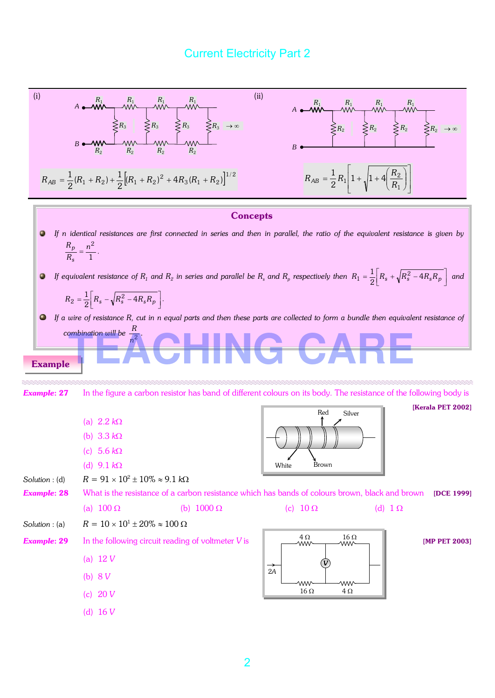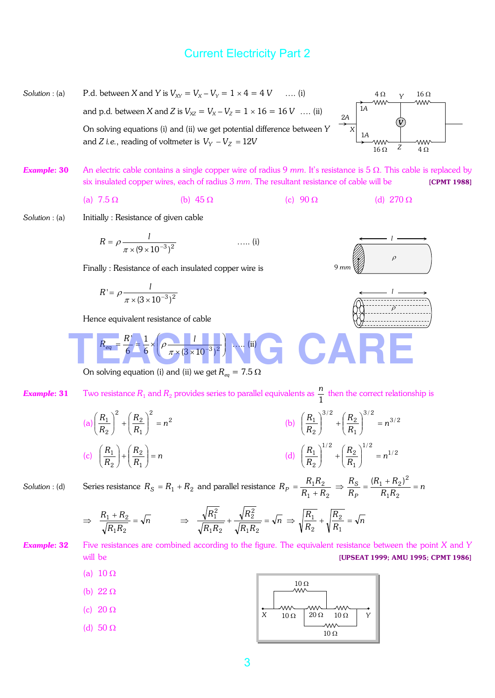- *Solution* : (a) P.d. between *X* and *Y* is  $V_{XY} = V_X V_Y = 1 \times 4 = 4$  *V* …. (i)  $4 \Omega$  v  $16 \Omega$ *Y*   $1A$ and p.d. between *X* and *Z* is  $V_{XZ} = V_X - V_Z = 1 \times 16 = 16$  *V* .... (ii) 2*A V*  On solving equations (i) and (ii) we get potential difference between *Y X* 1*A*  and *Z i.e.*, reading of voltmeter is  $V_y - V_z = 12V$ **WW** *Z*   $16 \Omega$   $Z$   $4 \Omega$
- *Example*: 30 An electric cable contains a single copper wire of radius 9 *mm*. It's resistance is 5 Ω. This cable is replaced by six insulated copper wires, each of radius 3 *mm*. The resultant resistance of cable will be [CPMT 1988]

(a) 
$$
7.5 \Omega
$$
 (b)  $45 \Omega$  (c)  $90 \Omega$  (d)  $270 \Omega$ 

*Solution* : (a) Initially : Resistance of given cable

$$
R = \rho \frac{l}{\pi \times (9 \times 10^{-3})^2} \qquad \qquad \dots (i)
$$

Finally : Resistance of each insulated copper wire is

$$
R' = \rho \frac{1}{\pi \times (3 \times 10^{-3})^2}
$$

Hence equivalent resistance of cable

$$
R_{eq} = \frac{R'}{6} = \frac{1}{6} \times \left(\rho \frac{1}{\pi \times (3 \times 10^{-3})^2}\right) \dots (ii)
$$

On solving equation (i) and (ii) we get  $R_{eq} = 7.5 \Omega$ 

*Example***: 31** Two resistance  $R_1$  and  $R_2$  provides series to parallel equivalents as  $\frac{1}{1}$ *n* then the correct relationship is

(a) 
$$
\left(\frac{R_1}{R_2}\right)^2 + \left(\frac{R_2}{R_1}\right)^2 = n^2
$$
  
\n(b)  $\left(\frac{R_1}{R_2}\right)^{3/2} + \left(\frac{R_2}{R_1}\right)^{3/2} = n^{3/2}$   
\n(c)  $\left(\frac{R_1}{R_2}\right) + \left(\frac{R_2}{R_1}\right) = n$   
\n(d)  $\left(\frac{R_1}{R_2}\right)^{1/2} + \left(\frac{R_2}{R_1}\right)^{1/2} = n^{1/2}$ 

*Solution* : (d) Series resistance  $R_S = R_1 + R_2$  and parallel resistance  $1 + \mu_2$  $1^{11}2$  $R_1 + R$  $R_P = \frac{R_1 R_2}{R_1 + R_2} \Rightarrow \frac{R_S}{R_P} = \frac{(R_1 + R_2)^2}{R_1 R_2} = n$ *R R P*  $\frac{S}{S} = \frac{(R_1 + R_2)^2}{R} =$ 

$$
\Rightarrow \frac{R_1 + R_2}{\sqrt{R_1 R_2}} = \sqrt{n} \qquad \Rightarrow \frac{\sqrt{R_1^2}}{\sqrt{R_1 R_2}} + \frac{\sqrt{R_2^2}}{\sqrt{R_1 R_2}} = \sqrt{n} \Rightarrow \sqrt{\frac{R_1}{R_2}} + \sqrt{\frac{R_2}{R_1}} = \sqrt{n}
$$

*Example*: 32 Five resistances are combined according to the figure. The equivalent resistance between the point *X* and *Y* will be **EXECUTE 1999; AMU 1995; CPMT 1986**]

- (a)  $10 \Omega$ (b) 22 Ω  $10 Ω$
- w w (c)  $20 \Omega$
- (d)  $50 \Omega$







 $R_1 + R$ 

 $1^{11}2$  $(R_1 + R_2)^2$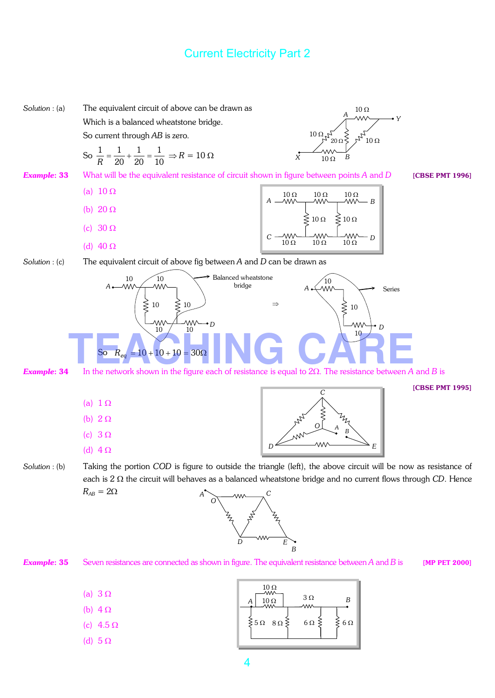

*D E B*

*Example*: 35 Seven resistances are connected as shown in figure. The equivalent resistance between *A* and *B* is [MP PET 2000]

|--|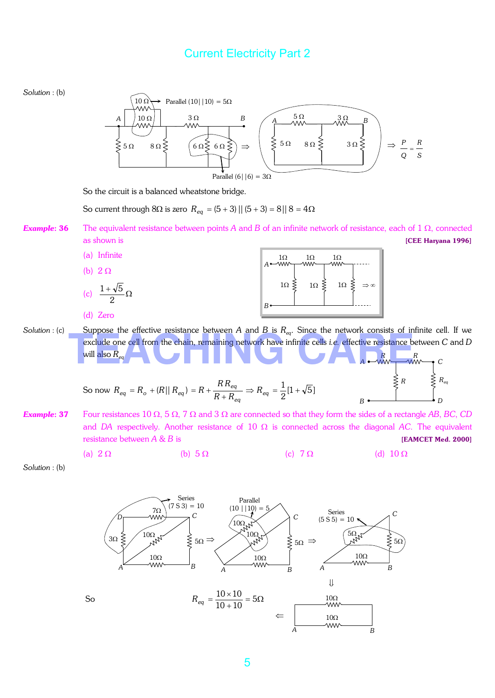

5

*A B*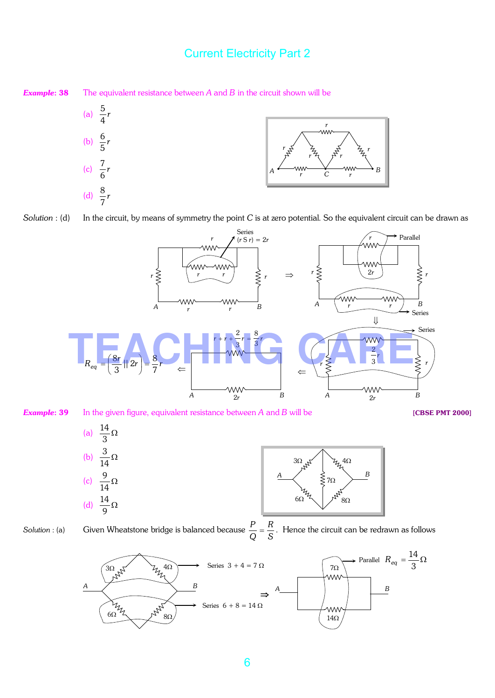**Example: 38** The equivalent resistance between *A* and *B* in the circuit shown will be



*Solution* : (d) In the circuit, by means of symmetry the point *C* is at zero potential. So the equivalent circuit can be drawn as



*Example*: 39 In the given figure, equivalent resistance between *A* and *B* will be [CBSE PMT 2000]



*Solution* : (a) Given Wheatstone bridge is balanced because  $\frac{1}{Q} = \frac{12}{S}$ *R Q*  $\frac{P}{Q} = \frac{R}{Q}$ . Hence the circuit can be redrawn as follows

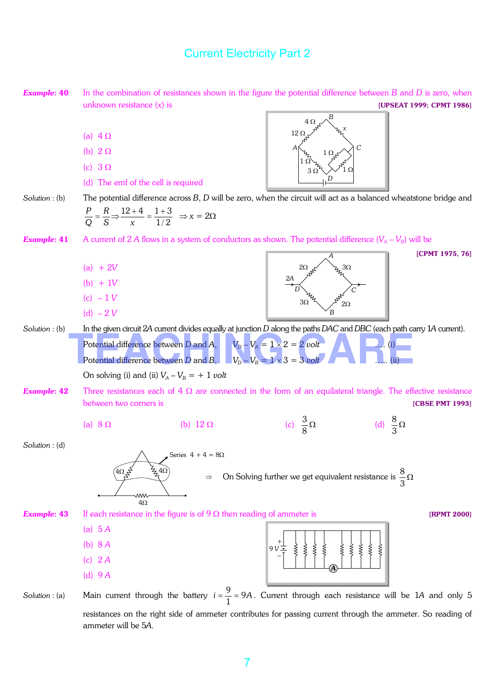

ammeter will be 5*A*.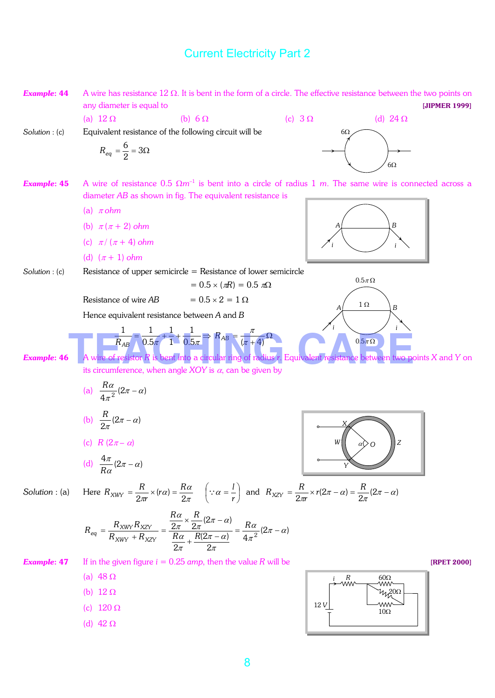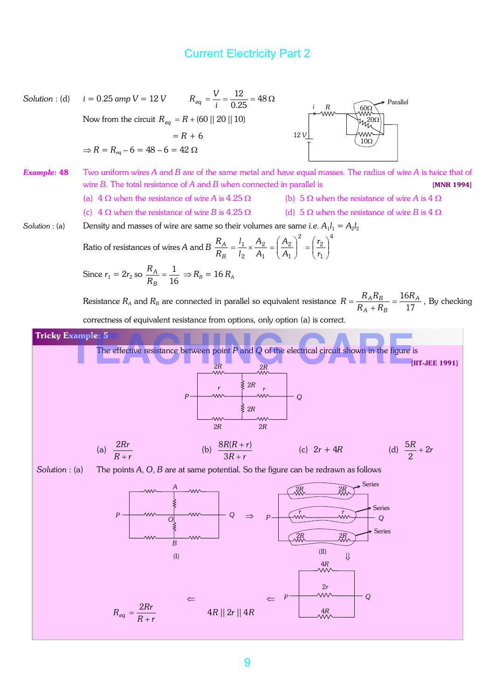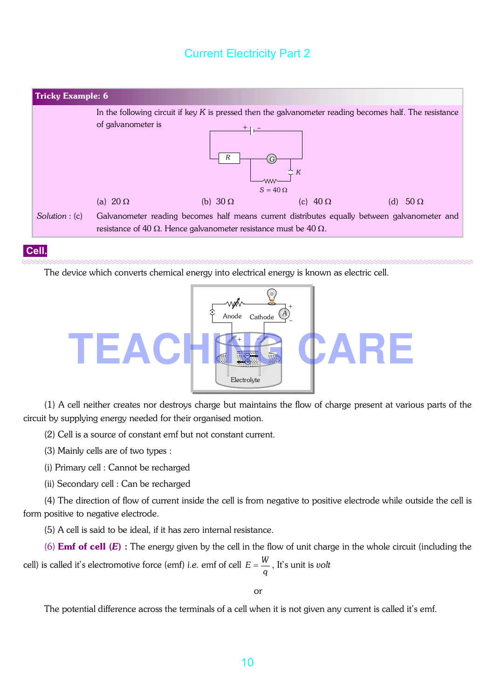

#### **Cell.**

The device which converts chemical energy into electrical energy is known as electric cell.



(1) A cell neither creates nor destroys charge but maintains the flow of charge present at various parts of the circuit by supplying energy needed for their organised motion.

(2) Cell is a source of constant emf but not constant current.

(3) Mainly cells are of two types :

(i) Primary cell : Cannot be recharged

(ii) Secondary cell : Can be recharged

(4) The direction of flow of current inside the cell is from negative to positive electrode while outside the cell is form positive to negative electrode.

(5) A cell is said to be ideal, if it has zero internal resistance.

(6) Emf of cell (*E*) : The energy given by the cell in the flow of unit charge in the whole circuit (including the cell) is called it's electromotive force (emf) *i.e.* emf of cell  $E = \frac{W}{q}$ , It's unit is *volt* 

or

The potential difference across the terminals of a cell when it is not given any current is called it's emf.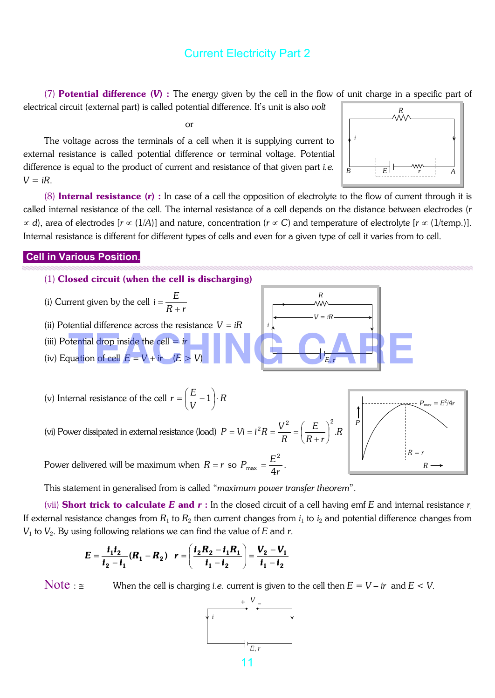(7) Potential difference (*V*) : The energy given by the cell in the flow of unit charge in a specific part of

electrical circuit (external part) is called potential difference. It's unit is also *volt*

or

The voltage across the terminals of a cell when it is supplying current to external resistance is called potential difference or terminal voltage. Potential difference is equal to the product of current and resistance of that given part *i.e.*  $V = iR$ .



(8) Internal resistance (*r*) : In case of a cell the opposition of electrolyte to the flow of current through it is called internal resistance of the cell. The internal resistance of a cell depends on the distance between electrodes (*r* ∝ *d*), area of electrodes [*r* ∝ (1/*A*)] and nature, concentration (*r* ∝ *C*) and temperature of electrolyte [*r* ∝ (1/temp.)]. Internal resistance is different for different types of cells and even for a given type of cell it varies from to cell.

#### **Cell in Various Position.**

- (1) Closed circuit (when the cell is discharging)
- (i) Current given by the cell *rR*  $i = \frac{E}{R}$ +  $=\frac{L}{R}$
- (ii) Potential difference across the resistance  $V = iR$
- (iii) Potential drop inside the cell = *ir*
- 

(v) Internal resistance of the cell 
$$
r = \left(\frac{E}{V} - 1\right) \cdot R
$$

(vi) Power dissipated in external resistance (load)  $P = Vi = i^2 R = \frac{V}{R} = |\frac{V}{R}|$ . *R*  $P = Vi = i^2 R = \frac{V^2}{R} = \left(\frac{E}{R}\right)^2$ .  $^{2}R = \frac{V^{2}}{R} = \left(\frac{E}{R}\right)^{2}$  $\left(\frac{E}{R}\right)$  $\setminus$ ſ  $= Vi = i^2 R = \frac{v}{R}$ 

Power delivered will be maximum when  $R = r$  so *r*  $P_{\text{max}} = \frac{E}{4}$ 4 2  $\frac{1}{\text{max}} = \frac{1}{4\pi}$ .

This statement in generalised from is called "*maximum power transfer theorem*".

(vii) Short trick to calculate *E* and *r* : In the closed circuit of a cell having emf *E* and internal resistance *r.*  If external resistance changes from  $R_1$  to  $R_2$  then current changes from  $i_1$  to  $i_2$  and potential difference changes from  $V_1$  to  $V_2$ . By using following relations we can find the value of  $E$  and  $r$ .

$$
E = \frac{i_1 i_2}{i_2 - i_1} (R_1 - R_2) \quad r = \left( \frac{i_2 R_2 - i_1 R_1}{i_1 - i_2} \right) = \frac{V_2 - V_1}{i_1 - i_2}
$$

Note :  $\leq$  When the cell is charging *i.e.* current is given to the cell then  $E = V - ir$  and  $E < V$ .





*rR E*

+

J

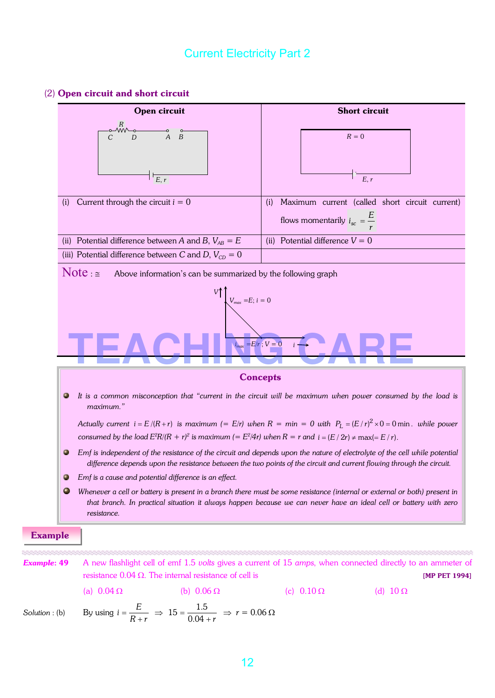#### (2) Open circuit and short circuit

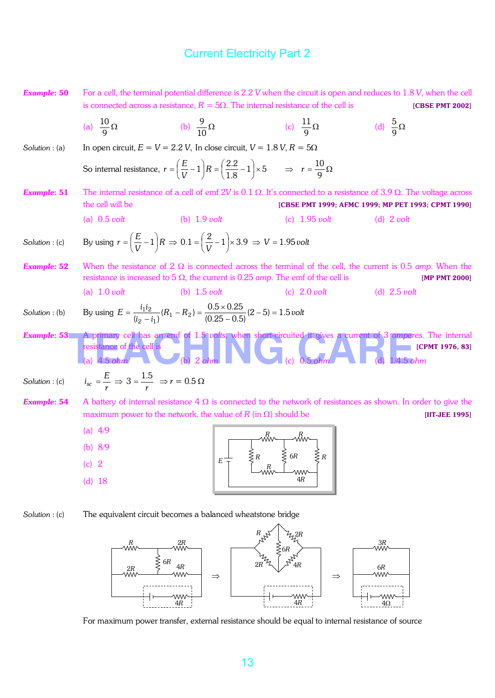**Example: 50** For a cell, the terminal potential difference is 2.2 *V* when the circuit is open and reduces to 1.8 *V*, when the cell is connected across a resistance,  $R = 5\Omega$ . The internal resistance of the cell is [CBSE PMT 2002] (a)  $\frac{18}{9} \Omega$ 9  $\frac{10}{2} \Omega$  (b)  $\frac{9}{10} \Omega$ 10 9 (c)  $\frac{11}{2}\Omega$ 9  $\frac{11}{2} \Omega$  (d)  $\frac{5}{2} \Omega$ 9 5 *Solution* : (a) In open circuit,  $E = V = 2.2$  *V*, In close circuit,  $V = 1.8$  *V*,  $R = 5\Omega$ So internal resistance,  $r = \left(\frac{E}{V} - 1\right)R = \left(\frac{2.2}{1.8} - 1\right) \times 5$  $1 R = \left(\frac{2.2}{1.2} - 1\right) \times$ J  $\left(\frac{2.2}{1.2}-1\right)$  $\setminus$  $R=\frac{2.2}{1.2}$  $\overline{\phantom{a}}$  $\left(\frac{E}{U}-1\right)$  $\setminus$  $=\left(\frac{E}{V}-1\right)R$  $r = \left(\frac{E}{r} - 1\right)R = \left(\frac{2.2}{1.8} - 1\right) \times 5$   $\Rightarrow$   $r = \frac{10}{8} \Omega$ 9  $r = \frac{10}{2}$ *Example*: 51 The internal resistance of a cell of emf 2*V* is 0.1 Ω. It's connected to a resistance of 3.9 Ω. The voltage across the cell will be **[CBSE PMT 1999; AFMC 1999; MP PET 1993; CPMT 1990**] (a) 0.5 *volt* (b) 1.9 *volt* (c) 1.95 *volt* (d) 2 *volt Solution* : (c) By using  $r = \left(\frac{L}{V} - 1\right)R$  $r = \left(\frac{E}{H} - 1\right)$  $\big)$  $\left(\frac{E}{H}-1\right)$  $\setminus$  $=\left(\frac{E}{U}-1\right)R \Rightarrow 0.1 = \left(\frac{2}{U}-1\right) \times 3.9$  $\overline{\phantom{a}}$  $\left(\frac{2}{\cdot\cdot\cdot}-1\right)$  $\setminus$  $=\left(\frac{2}{\cdots}\right)^{n}$  $\frac{2}{V}$  – 1  $\times$  3.9  $\Rightarrow$  V = 1.95 *volt Example*: 52 When the resistance of 2 Ω is connected across the terminal of the cell, the current is 0.5 *amp*. When the resistance is increased to 5 Ω, the current is 0.25 *amp*. The emf of the cell is [MP PMT 2000] (a) 1.0 *volt* (b) 1.5 *volt* (c) 2.0 *volt* (d) 2.5 *volt Solution*: (b) By using  $E = \frac{P_1 P_2}{(i_2 - i_1)} (R_1 - R_2) = \frac{0.6 \times 0.25}{(0.25 - 0.5)} (2 - 5) = 1.5$  *volt*  $E = \frac{i_1 i_2}{(i_2 - i_1)} (R_1 - R_2) = \frac{0.5 \times 0.25}{(0.25 - 0.5)} (2 - 5) = 1.5$  $\frac{1^{12}}{-i_1}(R_1 - R_2) = \frac{0.3 \times 0.23}{(0.25 - 0.5)}(2 - 5) =$  $=\frac{i_1i_2}{(i_2-i_1)}(R_1 - R_2) = \frac{0.5 \times}{(0.25)}$ *Example*: 53 A primary cell has an emf of 1.5 *volts*, when short-circuited it gives a current of 3 *amperes*. The internal resistance of the cell is [CPMT 1976, 83] (a) 4.5 *ohm* (b) 2 *ohm* (b) 2 *ohm* (c) 0.5 *ohm* (d) 1/4.5 *ohm Solution* : (c) *r*  $i_{\rm sc} = \frac{E}{r} \Rightarrow 3 = \frac{1}{r}$  $3 = \frac{1.5}{r} \Rightarrow r = 0.5 \,\Omega$ *Example*: 54 A battery of internal resistance  $4 \Omega$  is connected to the network of resistances as shown. In order to give the maximum power to the network, the value of  $R$  (in  $\Omega$ ) should be [IIT-JEE 1995] (a) 4/9 (b) 8/9 (c) 2 (d) 18 *R*  4*R E R R R*   $\frac{2}{5}$  6*R* 

*Solution* : (c) The equivalent circuit becomes a balanced wheatstone bridge



For maximum power transfer, external resistance should be equal to internal resistance of source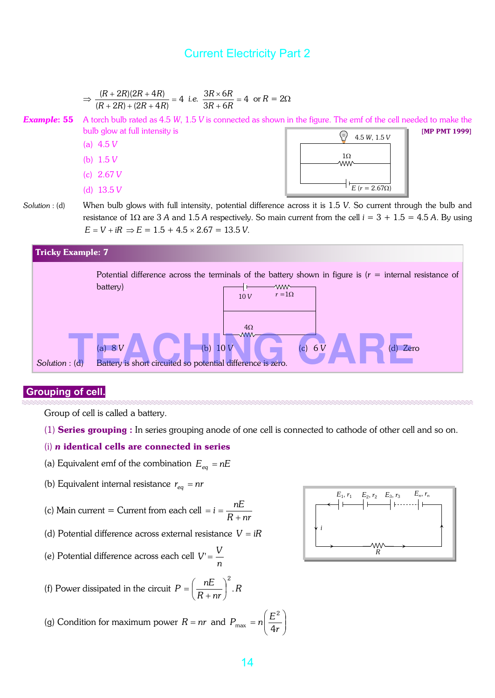$$
\Rightarrow \frac{(R+2R)(2R+4R)}{(R+2R)+(2R+4R)} = 4 \text{ i.e. } \frac{3R \times 6R}{3R+6R} = 4 \text{ or } R = 2\Omega
$$
  
\n**Example: 55** A torch bulb rated as 4.5 W, 1.5 V is connected as shown in the figure. The emf of the cell needed to make the bulb glow at full intensity is  
\n(a) 4.5 V  
\n(b) 1.5 V  
\n(c) 2.67 V  
\n(d) 13.5 V  
\n  
\n**Solution**: (d) When bulb glows with full intensity, potential difference across it is 1.5 V. So current through the bulb and resistance of 1\Omega are 3 A and 1.5 A respectively. So main current from the cell  $i = 3 + 1.5 = 4.5$  A. By using  $E = V + iR \Rightarrow E = 1.5 + 4.5 \times 2.67 = 13.5$  V.  
\n**Tricky Example:** 7



#### **Grouping of cell.**

Group of cell is called a battery.

(1) Series grouping : In series grouping anode of one cell is connected to cathode of other cell and so on.

#### (i) *n* identical cells are connected in series

- (a) Equivalent emf of the combination  $E_{eq} = nE$
- (b) Equivalent internal resistance  $r_{eq} = nr$

(c) Main current = Current from each cell = 
$$
i = \frac{nE}{R + nr}
$$

- (d) Potential difference across external resistance *V* = *iR*
- (e) Potential difference across each cell *n*  $V' = \frac{V}{V}$
- (f) Power dissipated in the circuit  $P = \frac{P}{P}$ . R *nrR*  $P = \left(\frac{nE}{R}\right)^2$ .  $\overline{\phantom{a}}$ J  $\left(\frac{nE}{R}\right)$ l ſ + =

(g) Condition for maximum power 
$$
R = nr
$$
 and  $P_{\text{max}} = n\left(\frac{E^2}{4r}\right)$ 

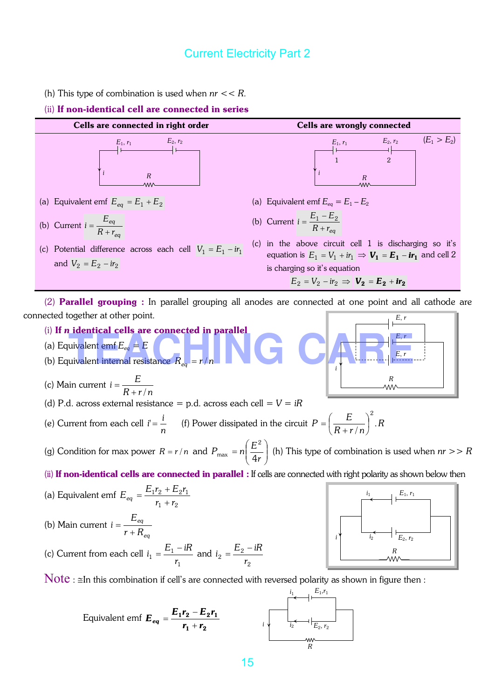(h) This type of combination is used when *nr* << *R.*

#### (ii) If non-identical cell are connected in series



(i) If *n* identical cells are connected in parallel (i) If *n* identical cells are connected in parallel<br>
(a) Equivalent emf  $E_{eq} = E$ <br>
(b) Equivalent internal resistance  $R_{eq} = r/n$ 

- (a) Equivalent emf  $E_{eq} = E$
- 
- (c) Main current *nrR*  $i = \frac{E}{R}$  $+ r/$ =

(d) P.d. across external resistance = p.d. across each cell = 
$$
V = iR
$$

1

(e) Current from each cell *n*  $i' = \frac{i}{r}$  (f) Power dissipated in the circuit  $P = \left(\frac{E}{R}\right)^2$ . *nrR*  $P = \left(\frac{E}{R_{\text{max}}}\right)^2$ . / 2  $\overline{\phantom{a}}$  $\bigg)$  $\left(\frac{E}{R_{\text{L}}}\right)$  $\setminus$ ſ + =

(g) Condition for max power  $R = r/n$  and  $P_{\text{max}} = n\left(\frac{L}{4r}\right)$ J  $\setminus$  $\overline{\phantom{a}}$  $\setminus$ ſ = *r*  $P_{\text{max}} = n \left( \frac{E}{4} \right)$ 4 2  $m_{\text{max}} = n \left| \frac{E}{4 \pi} \right|$  (h) This type of combination is used when  $nr >> R$ 

(ii) If non-identical cells are connected in parallel : If cells are connected with right polarity as shown below then

(a) Equivalent emf  $1 - 12$  $1^{12}$  T  $-2^{11}$  $r_1 + r$  $E_{eq} = \frac{E_1 r_2 + E_2 r}{r_1 + r_2}$  $=\frac{E_1r_2+E_2r_1}{2}$ (b) Main current *eq eq Rr E i* + = (c) Current from each cell  $n_1 = \frac{L_1}{r}$  $i_1 = \frac{E_1 - iR}{n}$  and  $r = \frac{L_2}{r}$  $i_2 = \frac{E_2 - iR}{i}$ 

 $Note: \n  $\leq$  In this combination if cell's are connected with reversed polarity as shown in figure then:$ 

2

 $i_1$   $E_1, r_1$ 

Equivalent emf

\n
$$
E_{eq} = \frac{E_1 r_2 - E_2 r_1}{r_1 + r_2}
$$
\ni

\n
$$
i \underbrace{\left| \underbrace{\left| \underbrace{\left| \underbrace{\left| \underbrace{\left| \underbrace{\left| \underbrace{\left| \right|}_{E_2, r_2} \right|}}_{R} \right|_{E_2, r_2}} \right|_{R}}_{R}}
$$



*R*

*E*, *r*

*E*, *r*

*i*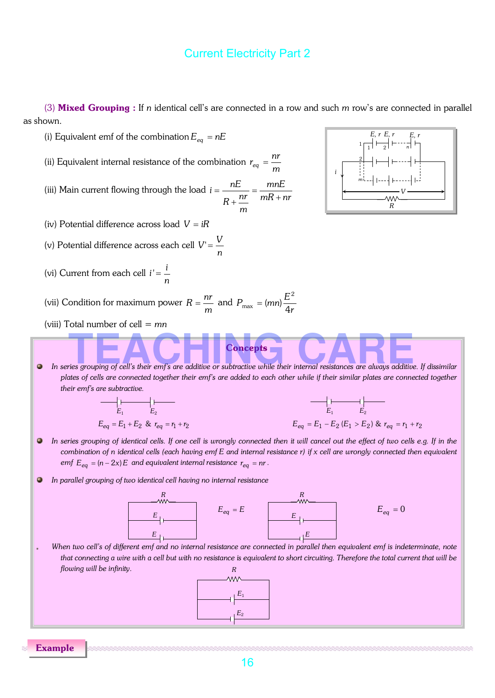(3) Mixed Grouping : If *n* identical cell's are connected in a row and such *m* row's are connected in parallel as shown.



Example

16